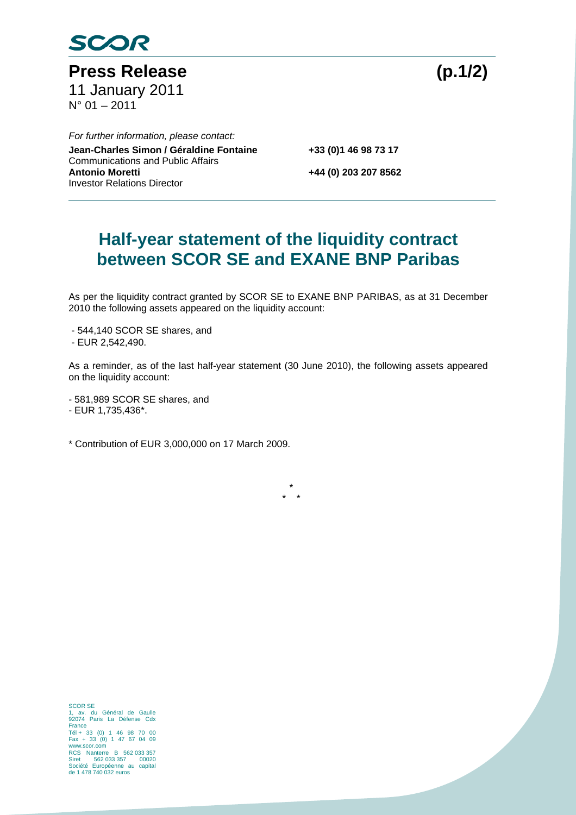

Press Release (p.1/2) 11 January 2011 N° 01 – 2011

 *For further information, please contact:*  **Jean-Charles Simon / Géraldine Fontaine +33 (0)1 46 98 73 17**  Communications and Public Affairs **Antonio Moretti +44 (0) 203 207 8562**  Investor Relations Director

## **Half-year statement of the liquidity contract between SCOR SE and EXANE BNP Paribas**

As per the liquidity contract granted by SCOR SE to EXANE BNP PARIBAS, as at 31 December 2010 the following assets appeared on the liquidity account:

- 544,140 SCOR SE shares, and
- EUR 2,542,490.

As a reminder, as of the last half-year statement (30 June 2010), the following assets appeared on the liquidity account:

> \* \* \*

- 581,989 SCOR SE shares, and

- EUR 1,735,436\*.

\* Contribution of EUR 3,000,000 on 17 March 2009.

SCOR SE 1, av. du Général de Gaulle 92074 Paris La Défense Cdx France Tél + 33 (0) 1 46 98 70 00 Fax + 33 (0) 1 47 67 04 09 www.scor.com RCS Nanterre B 562 033 357 Siret 562 033 357 00020 Société Européenne au capital Siret boz 033 357 00020<br>Société Européenne au capital<br>de 1 478 740 032 euros